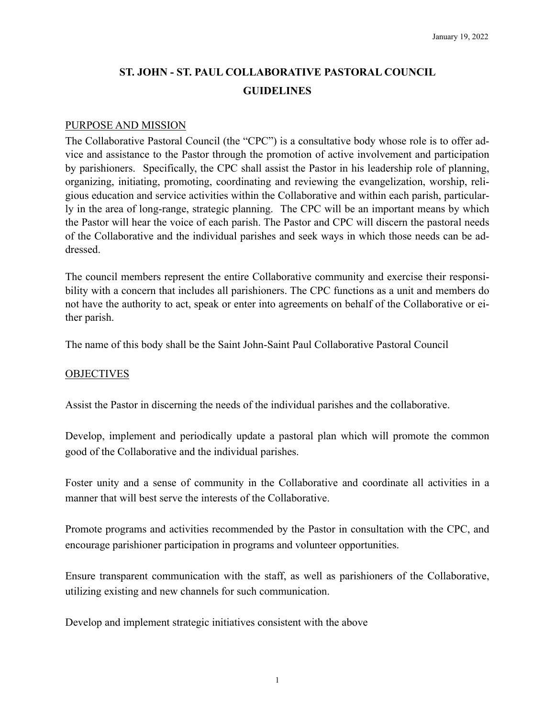# **ST. JOHN - ST. PAUL COLLABORATIVE PASTORAL COUNCIL GUIDELINES**

#### PURPOSE AND MISSION

The Collaborative Pastoral Council (the "CPC") is a consultative body whose role is to offer advice and assistance to the Pastor through the promotion of active involvement and participation by parishioners. Specifically, the CPC shall assist the Pastor in his leadership role of planning, organizing, initiating, promoting, coordinating and reviewing the evangelization, worship, religious education and service activities within the Collaborative and within each parish, particularly in the area of long-range, strategic planning. The CPC will be an important means by which the Pastor will hear the voice of each parish. The Pastor and CPC will discern the pastoral needs of the Collaborative and the individual parishes and seek ways in which those needs can be addressed.

The council members represent the entire Collaborative community and exercise their responsibility with a concern that includes all parishioners. The CPC functions as a unit and members do not have the authority to act, speak or enter into agreements on behalf of the Collaborative or either parish.

The name of this body shall be the Saint John-Saint Paul Collaborative Pastoral Council

#### **OBJECTIVES**

Assist the Pastor in discerning the needs of the individual parishes and the collaborative.

Develop, implement and periodically update a pastoral plan which will promote the common good of the Collaborative and the individual parishes.

Foster unity and a sense of community in the Collaborative and coordinate all activities in a manner that will best serve the interests of the Collaborative.

Promote programs and activities recommended by the Pastor in consultation with the CPC, and encourage parishioner participation in programs and volunteer opportunities.

Ensure transparent communication with the staff, as well as parishioners of the Collaborative, utilizing existing and new channels for such communication.

Develop and implement strategic initiatives consistent with the above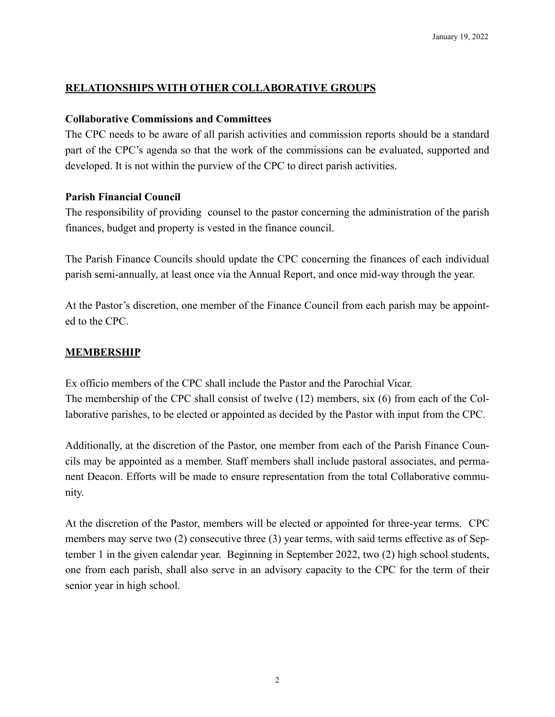## **RELATIONSHIPS WITH OTHER COLLABORATIVE GROUPS**

#### **Collaborative Commissions and Committees**

The CPC needs to be aware of all parish activities and commission reports should be a standard part of the CPC's agenda so that the work of the commissions can be evaluated, supported and developed. It is not within the purview of the CPC to direct parish activities.

## **Parish Financial Council**

The responsibility of providing counsel to the pastor concerning the administration of the parish finances, budget and property is vested in the finance council.

The Parish Finance Councils should update the CPC concerning the finances of each individual parish semi-annually, at least once via the Annual Report, and once mid-way through the year.

At the Pastor's discretion, one member of the Finance Council from each parish may be appointed to the CPC.

## **MEMBERSHIP**

Ex officio members of the CPC shall include the Pastor and the Parochial Vicar. The membership of the CPC shall consist of twelve (12) members, six (6) from each of the Collaborative parishes, to be elected or appointed as decided by the Pastor with input from the CPC.

Additionally, at the discretion of the Pastor, one member from each of the Parish Finance Councils may be appointed as a member. Staff members shall include pastoral associates, and permanent Deacon. Efforts will be made to ensure representation from the total Collaborative community.

At the discretion of the Pastor, members will be elected or appointed for three-year terms. CPC members may serve two (2) consecutive three (3) year terms, with said terms effective as of September 1 in the given calendar year. Beginning in September 2022, two (2) high school students, one from each parish, shall also serve in an advisory capacity to the CPC for the term of their senior year in high school.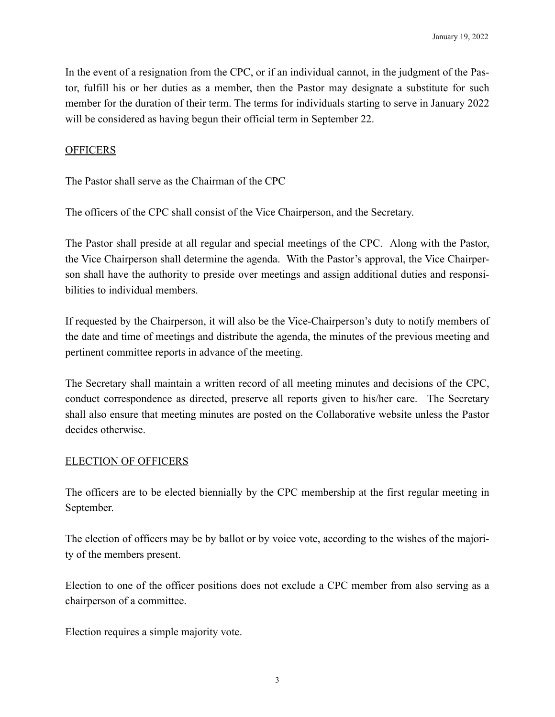In the event of a resignation from the CPC, or if an individual cannot, in the judgment of the Pastor, fulfill his or her duties as a member, then the Pastor may designate a substitute for such member for the duration of their term. The terms for individuals starting to serve in January 2022 will be considered as having begun their official term in September 22.

#### **OFFICERS**

The Pastor shall serve as the Chairman of the CPC

The officers of the CPC shall consist of the Vice Chairperson, and the Secretary.

The Pastor shall preside at all regular and special meetings of the CPC. Along with the Pastor, the Vice Chairperson shall determine the agenda. With the Pastor's approval, the Vice Chairperson shall have the authority to preside over meetings and assign additional duties and responsibilities to individual members.

If requested by the Chairperson, it will also be the Vice-Chairperson's duty to notify members of the date and time of meetings and distribute the agenda, the minutes of the previous meeting and pertinent committee reports in advance of the meeting.

The Secretary shall maintain a written record of all meeting minutes and decisions of the CPC, conduct correspondence as directed, preserve all reports given to his/her care. The Secretary shall also ensure that meeting minutes are posted on the Collaborative website unless the Pastor decides otherwise.

#### ELECTION OF OFFICERS

The officers are to be elected biennially by the CPC membership at the first regular meeting in September.

The election of officers may be by ballot or by voice vote, according to the wishes of the majority of the members present.

Election to one of the officer positions does not exclude a CPC member from also serving as a chairperson of a committee.

Election requires a simple majority vote.